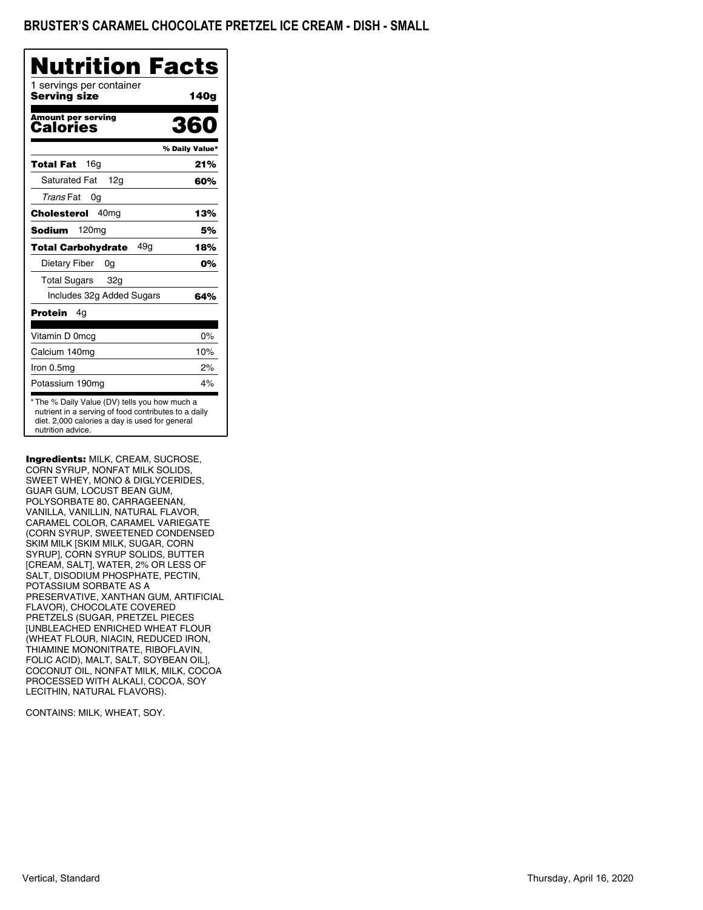## BRUSTER'S CARAMEL CHOCOLATE PRETZEL ICE CREAM - DISH - SMALL

| Nutrition                                                                                                                                                                    | <b>Facts</b>   |
|------------------------------------------------------------------------------------------------------------------------------------------------------------------------------|----------------|
| 1 servings per container<br>Serving size                                                                                                                                     | 140g           |
| <b>Amount per serving</b><br>Calories                                                                                                                                        | 360            |
|                                                                                                                                                                              | % Daily Value* |
| 16 <sub>q</sub><br>Total Fat                                                                                                                                                 | 21%            |
| <b>Saturated Fat</b><br>12g                                                                                                                                                  | 60%            |
| Trans Fat<br>0g                                                                                                                                                              |                |
| 40 <sub>mq</sub><br>Cholesterol                                                                                                                                              | 13%            |
| 120 <sub>mg</sub><br>Sodium                                                                                                                                                  | 5%             |
| 49a<br><b>Total Carbohydrate</b>                                                                                                                                             | 18%            |
| Dietary Fiber<br>0g                                                                                                                                                          | 0%             |
| <b>Total Sugars</b><br>32g                                                                                                                                                   |                |
| Includes 32g Added Sugars                                                                                                                                                    | 64%            |
| Protein<br>4g                                                                                                                                                                |                |
| Vitamin D 0mcg                                                                                                                                                               | 0%             |
| Calcium 140mg                                                                                                                                                                | 10%            |
| Iron 0.5mg                                                                                                                                                                   | 2%             |
| Potassium 190mg                                                                                                                                                              | 4%             |
| * The % Daily Value (DV) tells you how much a<br>nutrient in a serving of food contributes to a daily<br>diet. 2,000 calories a day is used for general<br>nutrition advice. |                |

Ingredients: MILK, CREAM, SUCROSE, CORN SYRUP, NONFAT MILK SOLIDS, SWEET WHEY, MONO & DIGLYCERIDES, GUAR GUM, LOCUST BEAN GUM, POLYSORBATE 80, CARRAGEENAN, VANILLA, VANILLIN, NATURAL FLAVOR, CARAMEL COLOR, CARAMEL VARIEGATE (CORN SYRUP, SWEETENED CONDENSED SKIM MILK [SKIM MILK, SUGAR, CORN SYRUP], CORN SYRUP SOLIDS, BUTTER [CREAM, SALT], WATER, 2% OR LESS OF SALT, DISODIUM PHOSPHATE, PECTIN, POTASSIUM SORBATE AS A PRESERVATIVE, XANTHAN GUM, ARTIFICIAL FLAVOR), CHOCOLATE COVERED PRETZELS (SUGAR, PRETZEL PIECES [UNBLEACHED ENRICHED WHEAT FLOUR (WHEAT FLOUR, NIACIN, REDUCED IRON, THIAMINE MONONITRATE, RIBOFLAVIN, FOLIC ACID), MALT, SALT, SOYBEAN OIL], COCONUT OIL, NONFAT MILK, MILK, COCOA PROCESSED WITH ALKALI, COCOA, SOY LECITHIN, NATURAL FLAVORS).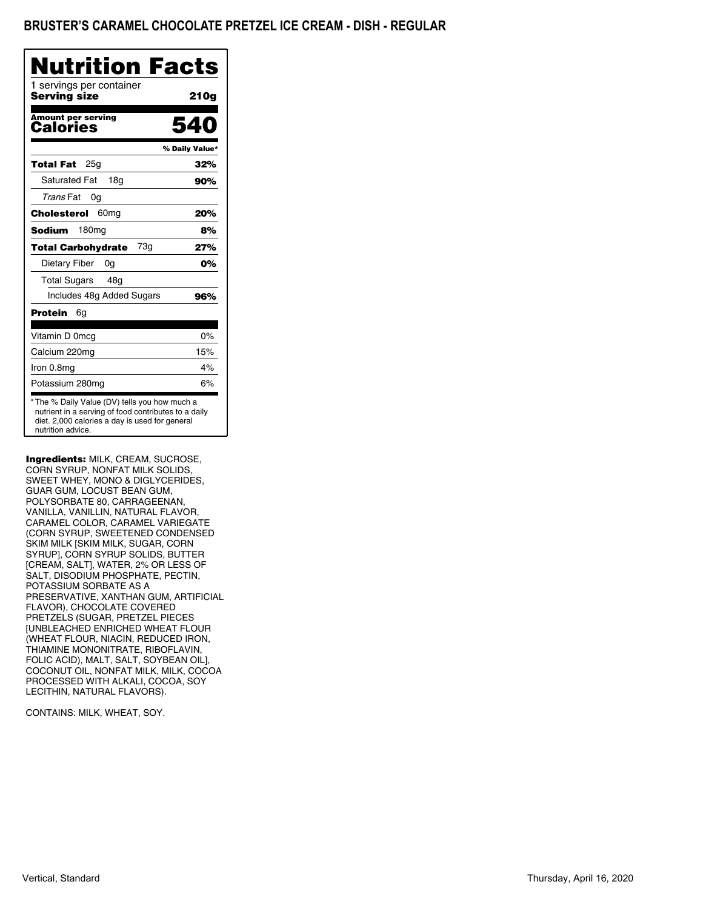| Nutrition Facts                                                                                                                                                              |                |
|------------------------------------------------------------------------------------------------------------------------------------------------------------------------------|----------------|
| 1 servings per container<br>Serving size                                                                                                                                     | 210g           |
| <b>Amount per serving</b><br>Calories                                                                                                                                        | 540            |
|                                                                                                                                                                              | % Daily Value* |
| 25 <sub>q</sub><br>Total Fat                                                                                                                                                 | 32%            |
| <b>Saturated Fat</b><br>18a                                                                                                                                                  | 90%            |
| Trans Fat<br>0g                                                                                                                                                              |                |
| Cholesterol<br>60 <sub>mg</sub>                                                                                                                                              | 20%            |
| 180mg<br>Sodium                                                                                                                                                              | 8%             |
| 73g<br><b>Total Carbohydrate</b>                                                                                                                                             | 27%            |
| Dietary Fiber<br>0g                                                                                                                                                          | 0%             |
| <b>Total Sugars</b><br>48g                                                                                                                                                   |                |
| Includes 48g Added Sugars                                                                                                                                                    | 96%            |
| Protein<br>6g                                                                                                                                                                |                |
| Vitamin D 0mcg                                                                                                                                                               | 0%             |
| Calcium 220mg                                                                                                                                                                | 15%            |
| Iron 0.8mg                                                                                                                                                                   | 4%             |
| Potassium 280mg                                                                                                                                                              | 6%             |
| * The % Daily Value (DV) tells you how much a<br>nutrient in a serving of food contributes to a daily<br>diet. 2,000 calories a day is used for general<br>nutrition advice. |                |

Ingredients: MILK, CREAM, SUCROSE, CORN SYRUP, NONFAT MILK SOLIDS, SWEET WHEY, MONO & DIGLYCERIDES, GUAR GUM, LOCUST BEAN GUM, POLYSORBATE 80, CARRAGEENAN, VANILLA, VANILLIN, NATURAL FLAVOR, CARAMEL COLOR, CARAMEL VARIEGATE (CORN SYRUP, SWEETENED CONDENSED SKIM MILK [SKIM MILK, SUGAR, CORN SYRUP], CORN SYRUP SOLIDS, BUTTER [CREAM, SALT], WATER, 2% OR LESS OF SALT, DISODIUM PHOSPHATE, PECTIN, POTASSIUM SORBATE AS A PRESERVATIVE, XANTHAN GUM, ARTIFICIAL FLAVOR), CHOCOLATE COVERED PRETZELS (SUGAR, PRETZEL PIECES [UNBLEACHED ENRICHED WHEAT FLOUR (WHEAT FLOUR, NIACIN, REDUCED IRON, THIAMINE MONONITRATE, RIBOFLAVIN, FOLIC ACID), MALT, SALT, SOYBEAN OIL], COCONUT OIL, NONFAT MILK, MILK, COCOA PROCESSED WITH ALKALI, COCOA, SOY LECITHIN, NATURAL FLAVORS).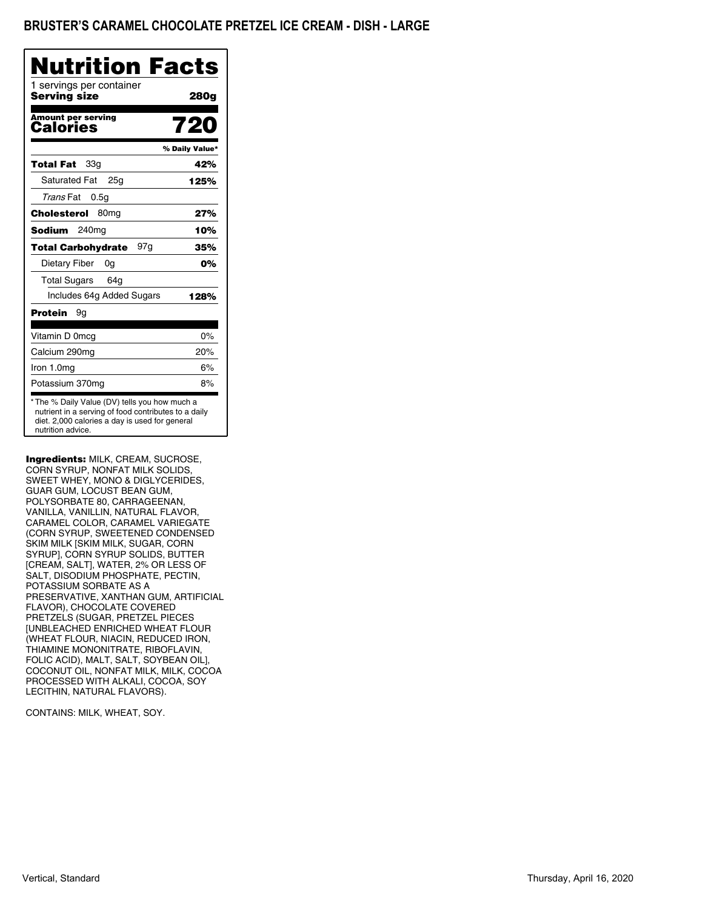| Nutrition Facts                                                                                                                                         |
|---------------------------------------------------------------------------------------------------------------------------------------------------------|
| 280g                                                                                                                                                    |
| 72                                                                                                                                                      |
| % Daily Value*                                                                                                                                          |
| 42%                                                                                                                                                     |
| 125%                                                                                                                                                    |
|                                                                                                                                                         |
| 27%                                                                                                                                                     |
| 10%                                                                                                                                                     |
| 35%                                                                                                                                                     |
| 0%                                                                                                                                                      |
|                                                                                                                                                         |
| 128%                                                                                                                                                    |
|                                                                                                                                                         |
| 0%                                                                                                                                                      |
| 20%                                                                                                                                                     |
| 6%                                                                                                                                                      |
| 8%                                                                                                                                                      |
| * The % Daily Value (DV) tells you how much a<br>nutrient in a serving of food contributes to a daily<br>diet. 2,000 calories a day is used for general |

Ingredients: MILK, CREAM, SUCROSE, CORN SYRUP, NONFAT MILK SOLIDS, SWEET WHEY, MONO & DIGLYCERIDES, GUAR GUM, LOCUST BEAN GUM, POLYSORBATE 80, CARRAGEENAN, VANILLA, VANILLIN, NATURAL FLAVOR, CARAMEL COLOR, CARAMEL VARIEGATE (CORN SYRUP, SWEETENED CONDENSED SKIM MILK [SKIM MILK, SUGAR, CORN SYRUP], CORN SYRUP SOLIDS, BUTTER [CREAM, SALT], WATER, 2% OR LESS OF SALT, DISODIUM PHOSPHATE, PECTIN, POTASSIUM SORBATE AS A PRESERVATIVE, XANTHAN GUM, ARTIFICIAL FLAVOR), CHOCOLATE COVERED PRETZELS (SUGAR, PRETZEL PIECES [UNBLEACHED ENRICHED WHEAT FLOUR (WHEAT FLOUR, NIACIN, REDUCED IRON, THIAMINE MONONITRATE, RIBOFLAVIN, FOLIC ACID), MALT, SALT, SOYBEAN OIL], COCONUT OIL, NONFAT MILK, MILK, COCOA PROCESSED WITH ALKALI, COCOA, SOY LECITHIN, NATURAL FLAVORS).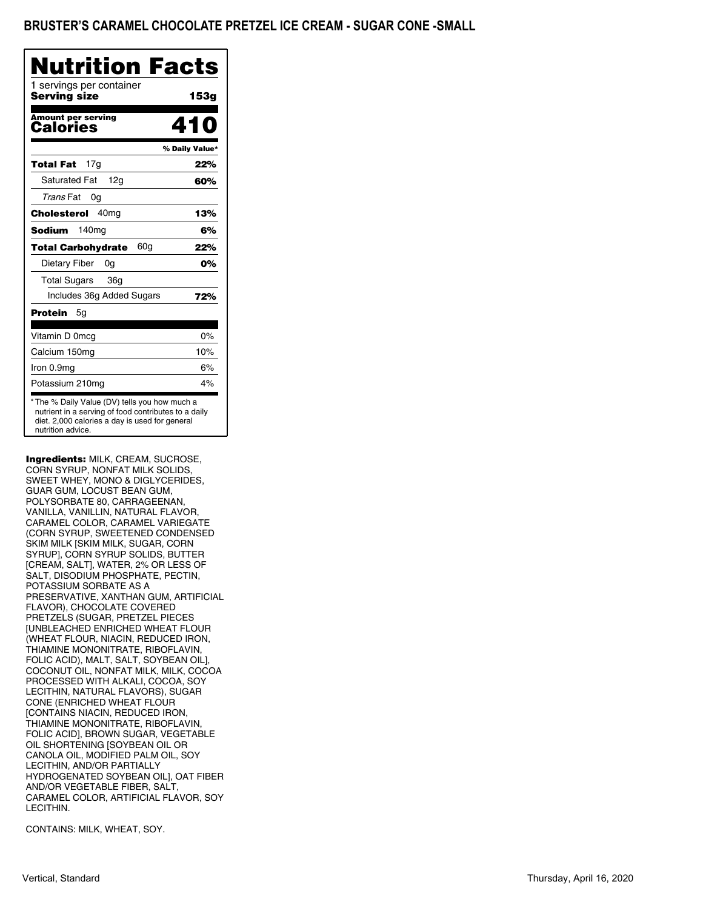## BRUSTER'S CARAMEL CHOCOLATE PRETZEL ICE CREAM - SUGAR CONE -SMALL

| Nutrition Facts |
|-----------------|
| 153a            |
| 410             |
| % Daily Value*  |
| 22%             |
| 60%             |
|                 |
| 13%             |
| 6%              |
| 22%             |
| 0%              |
|                 |
| 72%             |
|                 |
| $0\%$           |
| 10%             |
| 6%              |
| 4%              |
|                 |

Ingredients: MILK, CREAM, SUCROSE, CORN SYRUP, NONFAT MILK SOLIDS, SWEET WHEY, MONO & DIGLYCERIDES, GUAR GUM, LOCUST BEAN GUM, POLYSORBATE 80, CARRAGEENAN, VANILLA, VANILLIN, NATURAL FLAVOR, CARAMEL COLOR, CARAMEL VARIEGATE (CORN SYRUP, SWEETENED CONDENSED SKIM MILK [SKIM MILK, SUGAR, CORN SYRUP], CORN SYRUP SOLIDS, BUTTER [CREAM, SALT], WATER, 2% OR LESS OF SALT, DISODIUM PHOSPHATE, PECTIN, POTASSIUM SORBATE AS A PRESERVATIVE, XANTHAN GUM, ARTIFICIAL FLAVOR), CHOCOLATE COVERED PRETZELS (SUGAR, PRETZEL PIECES [UNBLEACHED ENRICHED WHEAT FLOUR (WHEAT FLOUR, NIACIN, REDUCED IRON, THIAMINE MONONITRATE, RIBOFLAVIN, FOLIC ACID), MALT, SALT, SOYBEAN OIL], COCONUT OIL, NONFAT MILK, MILK, COCOA PROCESSED WITH ALKALI, COCOA, SOY LECITHIN, NATURAL FLAVORS), SUGAR CONE (ENRICHED WHEAT FLOUR [CONTAINS NIACIN, REDUCED IRON, THIAMINE MONONITRATE, RIBOFLAVIN, FOLIC ACID], BROWN SUGAR, VEGETABLE OIL SHORTENING [SOYBEAN OIL OR CANOLA OIL, MODIFIED PALM OIL, SOY LECITHIN, AND/OR PARTIALLY HYDROGENATED SOYBEAN OIL], OAT FIBER AND/OR VEGETABLE FIBER, SALT, CARAMEL COLOR, ARTIFICIAL FLAVOR, SOY LECITHIN.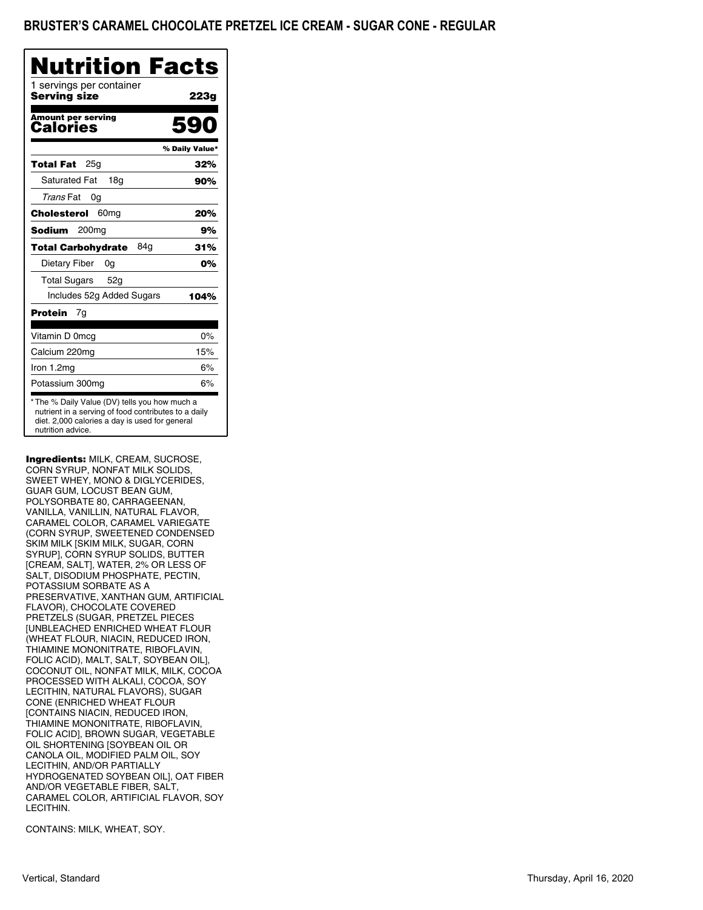| Nutrition Facts                          |                |
|------------------------------------------|----------------|
| 1 servings per container<br>Serving size | 223g           |
| <b>Amount per serving</b><br>Calories    | 590            |
|                                          | % Daily Value* |
| 25 <sub>q</sub><br><b>Total Fat</b>      | 32%            |
| <b>Saturated Fat</b><br>18 <sub>q</sub>  | 90%            |
| Trans Fat<br>0g                          |                |
| 60 <sub>mg</sub><br>Cholesterol          | 20%            |
| 200 <sub>mg</sub><br>Sodium              | 9%             |
| 84g<br><b>Total Carbohydrate</b>         | 31%            |
| Dietary Fiber<br>0g                      | 0%             |
| <b>Total Sugars</b><br>52g               |                |
| Includes 52g Added Sugars                | 104%           |
| Protein<br>7g                            |                |
| Vitamin D 0mcg                           | $0\%$          |
| Calcium 220mg                            | 15%            |
| Iron 1.2mg                               | 6%             |
| Potassium 300mg                          | 6%             |

Ingredients: MILK, CREAM, SUCROSE, CORN SYRUP, NONFAT MILK SOLIDS, SWEET WHEY, MONO & DIGLYCERIDES, GUAR GUM, LOCUST BEAN GUM, POLYSORBATE 80, CARRAGEENAN, VANILLA, VANILLIN, NATURAL FLAVOR, CARAMEL COLOR, CARAMEL VARIEGATE (CORN SYRUP, SWEETENED CONDENSED SKIM MILK [SKIM MILK, SUGAR, CORN SYRUP], CORN SYRUP SOLIDS, BUTTER [CREAM, SALT], WATER, 2% OR LESS OF SALT, DISODIUM PHOSPHATE, PECTIN, POTASSIUM SORBATE AS A PRESERVATIVE, XANTHAN GUM, ARTIFICIAL FLAVOR), CHOCOLATE COVERED PRETZELS (SUGAR, PRETZEL PIECES [UNBLEACHED ENRICHED WHEAT FLOUR (WHEAT FLOUR, NIACIN, REDUCED IRON, THIAMINE MONONITRATE, RIBOFLAVIN, FOLIC ACID), MALT, SALT, SOYBEAN OIL], COCONUT OIL, NONFAT MILK, MILK, COCOA PROCESSED WITH ALKALI, COCOA, SOY LECITHIN, NATURAL FLAVORS), SUGAR CONE (ENRICHED WHEAT FLOUR [CONTAINS NIACIN, REDUCED IRON, THIAMINE MONONITRATE, RIBOFLAVIN, FOLIC ACID], BROWN SUGAR, VEGETABLE OIL SHORTENING [SOYBEAN OIL OR CANOLA OIL, MODIFIED PALM OIL, SOY LECITHIN, AND/OR PARTIALLY HYDROGENATED SOYBEAN OIL], OAT FIBER AND/OR VEGETABLE FIBER, SALT, CARAMEL COLOR, ARTIFICIAL FLAVOR, SOY LECITHIN.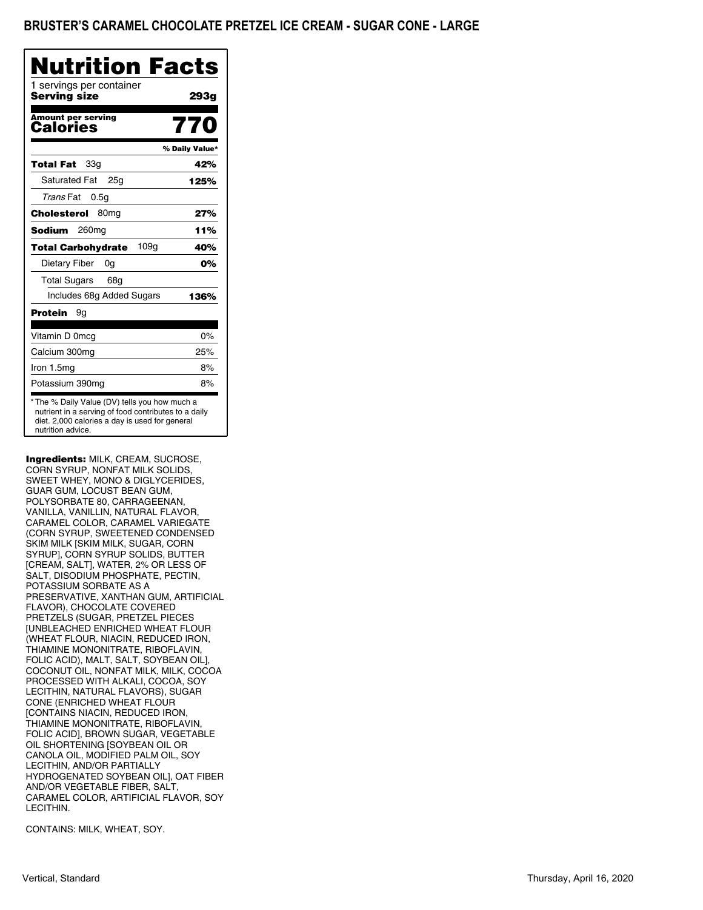| <b>Nutrition Facts</b>                        |                |
|-----------------------------------------------|----------------|
| 1 servings per container<br>Serving size      | 293g           |
| <b>Amount per serving</b><br>Calories         | 770            |
|                                               | % Daily Value* |
| 33g<br>Total Fat                              | 42%            |
| <b>Saturated Fat</b><br>25 <sub>a</sub>       | 125%           |
| Trans Fat<br>0.5q                             |                |
| Cholesterol<br>80 <sub>mg</sub>               | 27%            |
| Sodium<br>260 <sub>mg</sub>                   | 11%            |
| 109 <sub>g</sub><br><b>Total Carbohydrate</b> | 40%            |
| Dietary Fiber<br>0g                           | 0%             |
| <b>Total Sugars</b><br>68g                    |                |
| Includes 68g Added Sugars                     | 136%           |
| Protein<br>9g                                 |                |
| Vitamin D 0mcg                                | $0\%$          |
| Calcium 300mg                                 | 25%            |
| Iron 1.5mg                                    | 8%             |
| Potassium 390mg                               | 8%             |

Ingredients: MILK, CREAM, SUCROSE, CORN SYRUP, NONFAT MILK SOLIDS, SWEET WHEY, MONO & DIGLYCERIDES, GUAR GUM, LOCUST BEAN GUM, POLYSORBATE 80, CARRAGEENAN, VANILLA, VANILLIN, NATURAL FLAVOR, CARAMEL COLOR, CARAMEL VARIEGATE (CORN SYRUP, SWEETENED CONDENSED SKIM MILK [SKIM MILK, SUGAR, CORN SYRUP], CORN SYRUP SOLIDS, BUTTER [CREAM, SALT], WATER, 2% OR LESS OF SALT, DISODIUM PHOSPHATE, PECTIN, POTASSIUM SORBATE AS A PRESERVATIVE, XANTHAN GUM, ARTIFICIAL FLAVOR), CHOCOLATE COVERED PRETZELS (SUGAR, PRETZEL PIECES [UNBLEACHED ENRICHED WHEAT FLOUR (WHEAT FLOUR, NIACIN, REDUCED IRON, THIAMINE MONONITRATE, RIBOFLAVIN, FOLIC ACID), MALT, SALT, SOYBEAN OIL], COCONUT OIL, NONFAT MILK, MILK, COCOA PROCESSED WITH ALKALI, COCOA, SOY LECITHIN, NATURAL FLAVORS), SUGAR CONE (ENRICHED WHEAT FLOUR [CONTAINS NIACIN, REDUCED IRON, THIAMINE MONONITRATE, RIBOFLAVIN, FOLIC ACID], BROWN SUGAR, VEGETABLE OIL SHORTENING [SOYBEAN OIL OR CANOLA OIL, MODIFIED PALM OIL, SOY LECITHIN, AND/OR PARTIALLY HYDROGENATED SOYBEAN OIL], OAT FIBER AND/OR VEGETABLE FIBER, SALT, CARAMEL COLOR, ARTIFICIAL FLAVOR, SOY LECITHIN.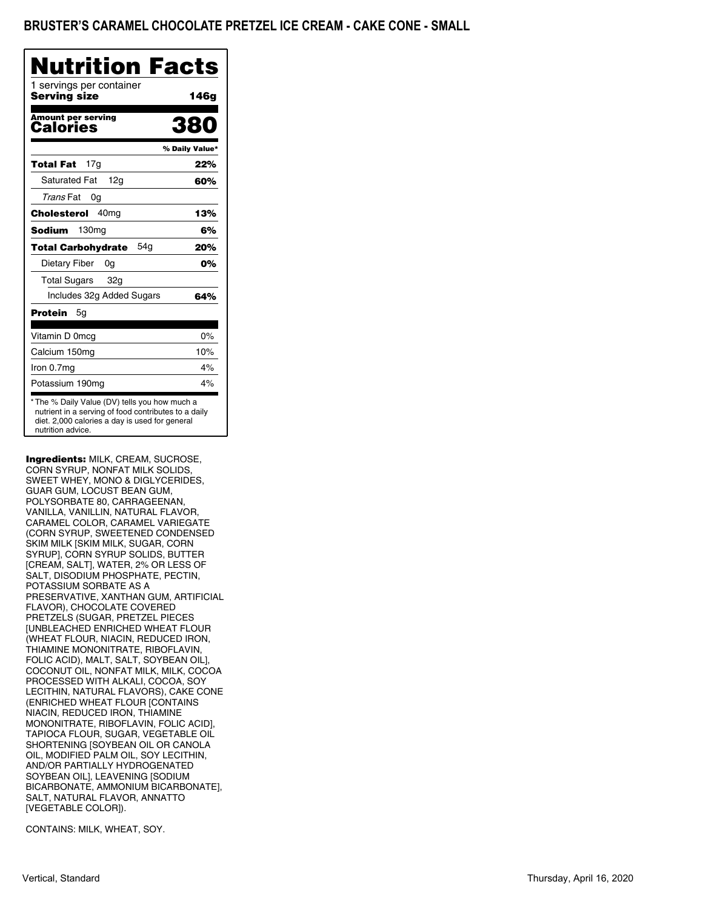| Nutrition Facts                                                                                                                                                              |                |
|------------------------------------------------------------------------------------------------------------------------------------------------------------------------------|----------------|
| 1 servings per container<br><b>Serving size</b>                                                                                                                              | 146g           |
| <b>Amount per serving</b><br>Calories                                                                                                                                        | 380            |
|                                                                                                                                                                              | % Daily Value* |
| 17g<br>Total Fat                                                                                                                                                             | 22%            |
| <b>Saturated Fat</b><br>12g                                                                                                                                                  | 60%            |
| Trans Fat<br>0g                                                                                                                                                              |                |
| Cholesterol<br>40 <sub>mg</sub>                                                                                                                                              | 13%            |
| 130ma<br>Sodium                                                                                                                                                              | 6%             |
| 54g<br><b>Total Carbohydrate</b>                                                                                                                                             | 20%            |
| Dietary Fiber<br>0g                                                                                                                                                          | 0%             |
| <b>Total Sugars</b><br>32g                                                                                                                                                   |                |
| Includes 32g Added Sugars                                                                                                                                                    | 64%            |
| Protein<br>5g                                                                                                                                                                |                |
| Vitamin D 0mcg                                                                                                                                                               | 0%             |
| Calcium 150mg                                                                                                                                                                | 10%            |
| Iron 0.7mg                                                                                                                                                                   | 4%             |
| Potassium 190mg                                                                                                                                                              | 4%             |
| * The % Daily Value (DV) tells you how much a<br>nutrient in a serving of food contributes to a daily<br>diet. 2,000 calories a day is used for general<br>nutrition advice. |                |

Ingredients: MILK, CREAM, SUCROSE, CORN SYRUP, NONFAT MILK SOLIDS, SWEET WHEY, MONO & DIGLYCERIDES, GUAR GUM, LOCUST BEAN GUM, POLYSORBATE 80, CARRAGEENAN, VANILLA, VANILLIN, NATURAL FLAVOR, CARAMEL COLOR, CARAMEL VARIEGATE (CORN SYRUP, SWEETENED CONDENSED SKIM MILK [SKIM MILK, SUGAR, CORN SYRUP], CORN SYRUP SOLIDS, BUTTER [CREAM, SALT], WATER, 2% OR LESS OF SALT, DISODIUM PHOSPHATE, PECTIN, POTASSIUM SORBATE AS A PRESERVATIVE, XANTHAN GUM, ARTIFICIAL FLAVOR), CHOCOLATE COVERED PRETZELS (SUGAR, PRETZEL PIECES [UNBLEACHED ENRICHED WHEAT FLOUR (WHEAT FLOUR, NIACIN, REDUCED IRON, THIAMINE MONONITRATE, RIBOFLAVIN, FOLIC ACID), MALT, SALT, SOYBEAN OIL], COCONUT OIL, NONFAT MILK, MILK, COCOA PROCESSED WITH ALKALI, COCOA, SOY LECITHIN, NATURAL FLAVORS), CAKE CONE (ENRICHED WHEAT FLOUR [CONTAINS NIACIN, REDUCED IRON, THIAMINE MONONITRATE, RIBOFLAVIN, FOLIC ACID], TAPIOCA FLOUR, SUGAR, VEGETABLE OIL SHORTENING [SOYBEAN OIL OR CANOLA OIL, MODIFIED PALM OIL, SOY LECITHIN, AND/OR PARTIALLY HYDROGENATED SOYBEAN OIL], LEAVENING [SODIUM BICARBONATE, AMMONIUM BICARBONATE], SALT, NATURAL FLAVOR, ANNATTO [VEGETABLE COLOR]).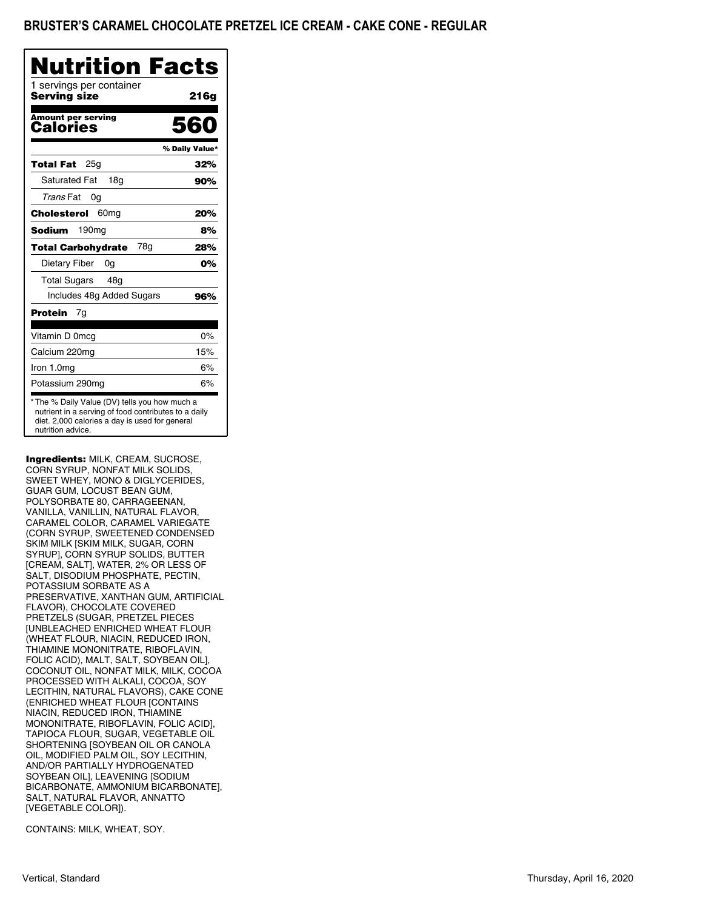| Nutrition Facts                          |                |
|------------------------------------------|----------------|
| 1 servings per container<br>Serving size | 216g           |
| <b>Amount per serving</b><br>Calories    | 560            |
|                                          | % Daily Value* |
| 25g<br>Total Fat                         | 32%            |
| <b>Saturated Fat</b><br>18a              | 90%            |
| Trans Fat<br>0g                          |                |
| Cholesterol<br>60 <sub>mg</sub>          | 20%            |
| Sodium<br>190mg                          | 8%             |
| 78a<br><b>Total Carbohydrate</b>         | 28%            |
| Dietary Fiber<br>0g                      | 0%             |
| <b>Total Sugars</b><br>48a               |                |
| Includes 48g Added Sugars                | 96%            |
| Protein<br>7g                            |                |
| Vitamin D 0mcg                           | $0\%$          |
| Calcium 220mg                            | 15%            |
| Iron 1.0mg                               | 6%             |
| Potassium 290mg                          | 6%             |

Ingredients: MILK, CREAM, SUCROSE, CORN SYRUP, NONFAT MILK SOLIDS, SWEET WHEY, MONO & DIGLYCERIDES, GUAR GUM, LOCUST BEAN GUM, POLYSORBATE 80, CARRAGEENAN, VANILLA, VANILLIN, NATURAL FLAVOR, CARAMEL COLOR, CARAMEL VARIEGATE (CORN SYRUP, SWEETENED CONDENSED SKIM MILK [SKIM MILK, SUGAR, CORN SYRUP], CORN SYRUP SOLIDS, BUTTER [CREAM, SALT], WATER, 2% OR LESS OF SALT, DISODIUM PHOSPHATE, PECTIN, POTASSIUM SORBATE AS A PRESERVATIVE, XANTHAN GUM, ARTIFICIAL FLAVOR), CHOCOLATE COVERED PRETZELS (SUGAR, PRETZEL PIECES [UNBLEACHED ENRICHED WHEAT FLOUR (WHEAT FLOUR, NIACIN, REDUCED IRON, THIAMINE MONONITRATE, RIBOFLAVIN, FOLIC ACID), MALT, SALT, SOYBEAN OIL], COCONUT OIL, NONFAT MILK, MILK, COCOA PROCESSED WITH ALKALI, COCOA, SOY LECITHIN, NATURAL FLAVORS), CAKE CONE (ENRICHED WHEAT FLOUR [CONTAINS NIACIN, REDUCED IRON, THIAMINE MONONITRATE, RIBOFLAVIN, FOLIC ACID], TAPIOCA FLOUR, SUGAR, VEGETABLE OIL SHORTENING [SOYBEAN OIL OR CANOLA OIL, MODIFIED PALM OIL, SOY LECITHIN, AND/OR PARTIALLY HYDROGENATED SOYBEAN OIL], LEAVENING [SODIUM BICARBONATE, AMMONIUM BICARBONATE], SALT, NATURAL FLAVOR, ANNATTO [VEGETABLE COLOR]).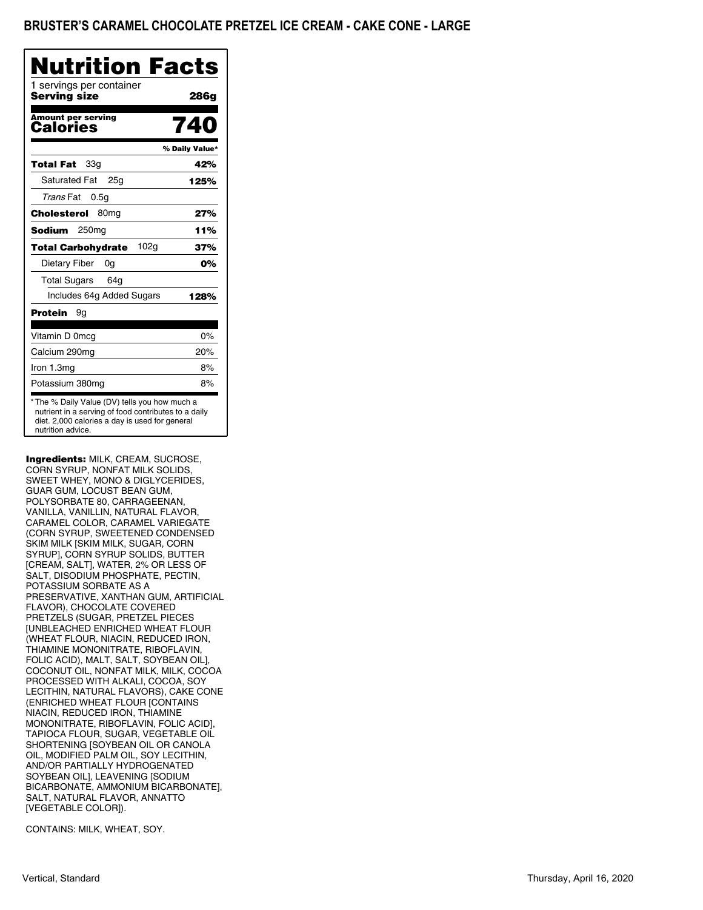| Nutrition Facts                                                                                                                                                              |                |
|------------------------------------------------------------------------------------------------------------------------------------------------------------------------------|----------------|
| 1 servings per container<br>Serving size                                                                                                                                     | 286g           |
| <b>Amount per serving</b><br>Calories                                                                                                                                        | 740            |
|                                                                                                                                                                              | % Daily Value* |
| 33 <sub>q</sub><br>Total Fat                                                                                                                                                 | 42%            |
| <b>Saturated Fat</b><br>25a                                                                                                                                                  | 125%           |
| Trans Fat<br>0.5q                                                                                                                                                            |                |
| Cholesterol<br>80 <sub>mg</sub>                                                                                                                                              | 27%            |
| 250 <sub>mq</sub><br>Sodium                                                                                                                                                  | 11%            |
| 102g<br><b>Total Carbohydrate</b>                                                                                                                                            | 37%            |
| Dietary Fiber<br>0g                                                                                                                                                          | 0%             |
| <b>Total Sugars</b><br>64g                                                                                                                                                   |                |
| Includes 64g Added Sugars                                                                                                                                                    | 128%           |
| Protein<br>9g                                                                                                                                                                |                |
| Vitamin D 0mcg                                                                                                                                                               | $0\%$          |
| Calcium 290mg                                                                                                                                                                | 20%            |
| Iron 1.3mg                                                                                                                                                                   | 8%             |
| Potassium 380mg                                                                                                                                                              | 8%             |
| * The % Daily Value (DV) tells you how much a<br>nutrient in a serving of food contributes to a daily<br>diet. 2,000 calories a day is used for general<br>nutrition advice. |                |

Ingredients: MILK, CREAM, SUCROSE, CORN SYRUP, NONFAT MILK SOLIDS, SWEET WHEY, MONO & DIGLYCERIDES, GUAR GUM, LOCUST BEAN GUM, POLYSORBATE 80, CARRAGEENAN, VANILLA, VANILLIN, NATURAL FLAVOR, CARAMEL COLOR, CARAMEL VARIEGATE (CORN SYRUP, SWEETENED CONDENSED SKIM MILK [SKIM MILK, SUGAR, CORN SYRUP], CORN SYRUP SOLIDS, BUTTER [CREAM, SALT], WATER, 2% OR LESS OF SALT, DISODIUM PHOSPHATE, PECTIN, POTASSIUM SORBATE AS A PRESERVATIVE, XANTHAN GUM, ARTIFICIAL FLAVOR), CHOCOLATE COVERED PRETZELS (SUGAR, PRETZEL PIECES [UNBLEACHED ENRICHED WHEAT FLOUR (WHEAT FLOUR, NIACIN, REDUCED IRON, THIAMINE MONONITRATE, RIBOFLAVIN, FOLIC ACID), MALT, SALT, SOYBEAN OIL], COCONUT OIL, NONFAT MILK, MILK, COCOA PROCESSED WITH ALKALI, COCOA, SOY LECITHIN, NATURAL FLAVORS), CAKE CONE (ENRICHED WHEAT FLOUR [CONTAINS NIACIN, REDUCED IRON, THIAMINE MONONITRATE, RIBOFLAVIN, FOLIC ACID], TAPIOCA FLOUR, SUGAR, VEGETABLE OIL SHORTENING [SOYBEAN OIL OR CANOLA OIL, MODIFIED PALM OIL, SOY LECITHIN, AND/OR PARTIALLY HYDROGENATED SOYBEAN OIL], LEAVENING [SODIUM BICARBONATE, AMMONIUM BICARBONATE], SALT, NATURAL FLAVOR, ANNATTO [VEGETABLE COLOR]).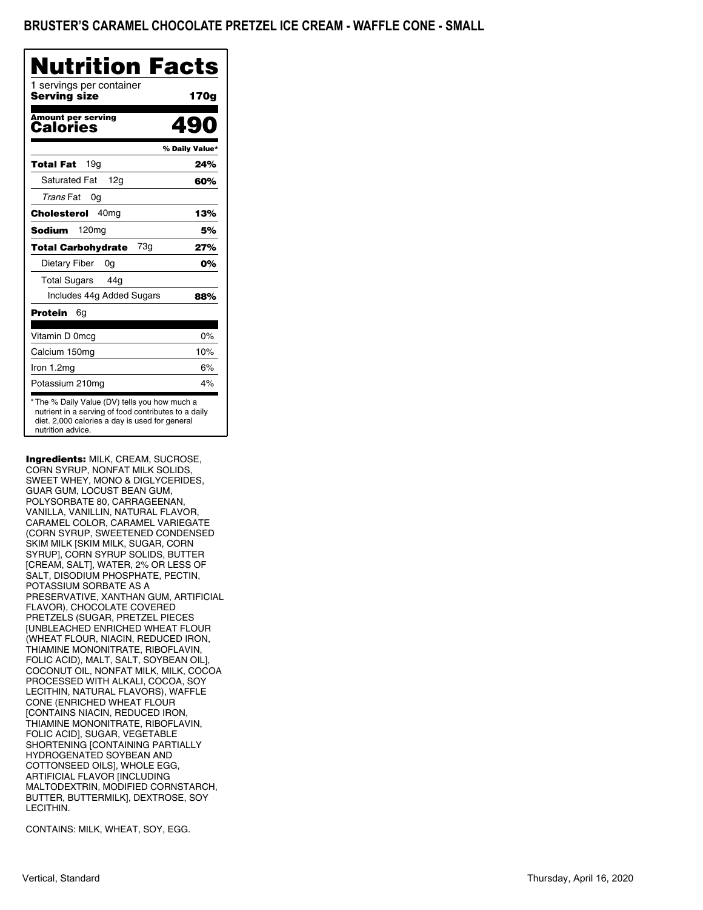| 170g<br>lon<br>% Daily Value*<br>24%<br>60%<br>13%                                                                                                      |
|---------------------------------------------------------------------------------------------------------------------------------------------------------|
|                                                                                                                                                         |
|                                                                                                                                                         |
|                                                                                                                                                         |
|                                                                                                                                                         |
|                                                                                                                                                         |
|                                                                                                                                                         |
|                                                                                                                                                         |
| 5%                                                                                                                                                      |
| 27%                                                                                                                                                     |
| 0%                                                                                                                                                      |
|                                                                                                                                                         |
| 88%                                                                                                                                                     |
|                                                                                                                                                         |
| 0%                                                                                                                                                      |
| 10%                                                                                                                                                     |
| 6%                                                                                                                                                      |
| 4%                                                                                                                                                      |
| * The % Daily Value (DV) tells you how much a<br>nutrient in a serving of food contributes to a daily<br>diet. 2,000 calories a day is used for general |

Ingredients: MILK, CREAM, SUCROSE, CORN SYRUP, NONFAT MILK SOLIDS, SWEET WHEY, MONO & DIGLYCERIDES, GUAR GUM, LOCUST BEAN GUM, POLYSORBATE 80, CARRAGEENAN, VANILLA, VANILLIN, NATURAL FLAVOR, CARAMEL COLOR, CARAMEL VARIEGATE (CORN SYRUP, SWEETENED CONDENSED SKIM MILK [SKIM MILK, SUGAR, CORN SYRUP], CORN SYRUP SOLIDS, BUTTER [CREAM, SALT], WATER, 2% OR LESS OF SALT, DISODIUM PHOSPHATE, PECTIN, POTASSIUM SORBATE AS A PRESERVATIVE, XANTHAN GUM, ARTIFICIAL FLAVOR), CHOCOLATE COVERED PRETZELS (SUGAR, PRETZEL PIECES [UNBLEACHED ENRICHED WHEAT FLOUR (WHEAT FLOUR, NIACIN, REDUCED IRON, THIAMINE MONONITRATE, RIBOFLAVIN, FOLIC ACID), MALT, SALT, SOYBEAN OIL], COCONUT OIL, NONFAT MILK, MILK, COCOA PROCESSED WITH ALKALI, COCOA, SOY LECITHIN, NATURAL FLAVORS), WAFFLE CONE (ENRICHED WHEAT FLOUR [CONTAINS NIACIN, REDUCED IRON, THIAMINE MONONITRATE, RIBOFLAVIN, FOLIC ACID], SUGAR, VEGETABLE SHORTENING [CONTAINING PARTIALLY HYDROGENATED SOYBEAN AND COTTONSEED OILS], WHOLE EGG, ARTIFICIAL FLAVOR [INCLUDING MALTODEXTRIN, MODIFIED CORNSTARCH, BUTTER, BUTTERMILK], DEXTROSE, SOY LECITHIN.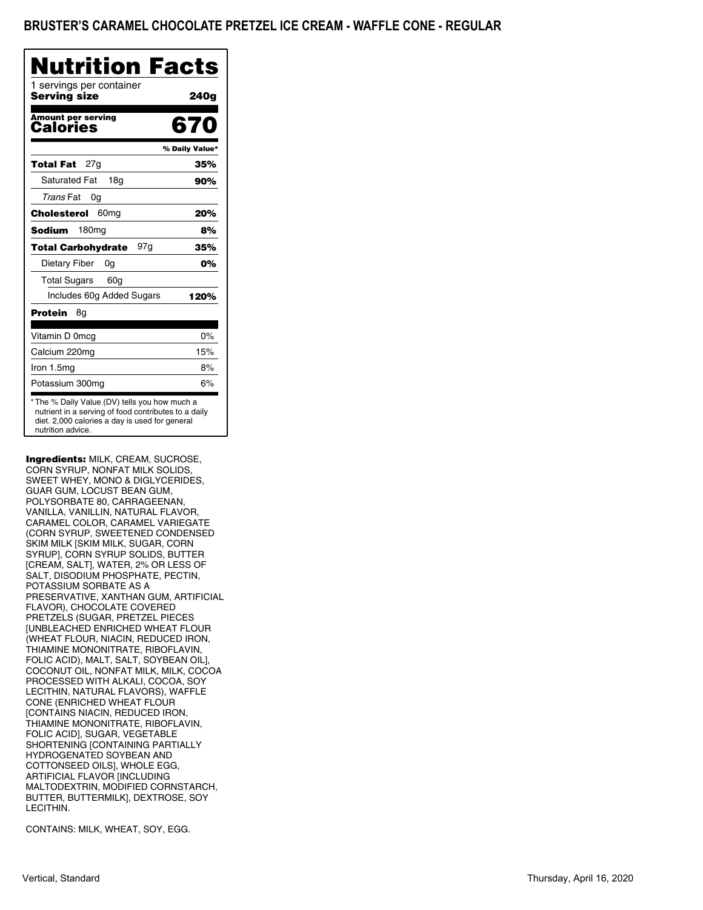| Nutrition                                                                                                                                                                    | <b>Facts</b>   |
|------------------------------------------------------------------------------------------------------------------------------------------------------------------------------|----------------|
| 1 servings per container<br>Serving size                                                                                                                                     | 240g           |
| <b>Amount per serving</b><br>Calories                                                                                                                                        | 670            |
|                                                                                                                                                                              | % Daily Value* |
| 27a<br>Total Fat                                                                                                                                                             | 35%            |
| <b>Saturated Fat</b><br>18g                                                                                                                                                  | 90%            |
| Trans Fat<br>0g                                                                                                                                                              |                |
| 60 <sub>mq</sub><br>Cholesterol                                                                                                                                              | 20%            |
| 180 <sub>mg</sub><br><b>Sodium</b>                                                                                                                                           | 8%             |
| 97g<br><b>Total Carbohydrate</b>                                                                                                                                             | 35%            |
| Dietary Fiber<br>0g                                                                                                                                                          | 0%             |
| <b>Total Sugars</b><br>60 <sub>q</sub>                                                                                                                                       |                |
| Includes 60g Added Sugars                                                                                                                                                    | 120%           |
| Protein<br>8g                                                                                                                                                                |                |
| Vitamin D 0mcg                                                                                                                                                               | 0%             |
| Calcium 220mg                                                                                                                                                                | 15%            |
| Iron 1.5mg                                                                                                                                                                   | 8%             |
| Potassium 300mg                                                                                                                                                              | 6%             |
| * The % Daily Value (DV) tells you how much a<br>nutrient in a serving of food contributes to a daily<br>diet. 2,000 calories a day is used for general<br>nutrition advice. |                |

Ingredients: MILK, CREAM, SUCROSE, CORN SYRUP, NONFAT MILK SOLIDS, SWEET WHEY, MONO & DIGLYCERIDES, GUAR GUM, LOCUST BEAN GUM, POLYSORBATE 80, CARRAGEENAN, VANILLA, VANILLIN, NATURAL FLAVOR, CARAMEL COLOR, CARAMEL VARIEGATE (CORN SYRUP, SWEETENED CONDENSED SKIM MILK [SKIM MILK, SUGAR, CORN SYRUP], CORN SYRUP SOLIDS, BUTTER [CREAM, SALT], WATER, 2% OR LESS OF SALT, DISODIUM PHOSPHATE, PECTIN, POTASSIUM SORBATE AS A PRESERVATIVE, XANTHAN GUM, ARTIFICIAL FLAVOR), CHOCOLATE COVERED PRETZELS (SUGAR, PRETZEL PIECES [UNBLEACHED ENRICHED WHEAT FLOUR (WHEAT FLOUR, NIACIN, REDUCED IRON, THIAMINE MONONITRATE, RIBOFLAVIN, FOLIC ACID), MALT, SALT, SOYBEAN OIL], COCONUT OIL, NONFAT MILK, MILK, COCOA PROCESSED WITH ALKALI, COCOA, SOY LECITHIN, NATURAL FLAVORS), WAFFLE CONE (ENRICHED WHEAT FLOUR [CONTAINS NIACIN, REDUCED IRON, THIAMINE MONONITRATE, RIBOFLAVIN, FOLIC ACID], SUGAR, VEGETABLE SHORTENING [CONTAINING PARTIALLY HYDROGENATED SOYBEAN AND COTTONSEED OILS], WHOLE EGG, ARTIFICIAL FLAVOR [INCLUDING MALTODEXTRIN, MODIFIED CORNSTARCH, BUTTER, BUTTERMILK], DEXTROSE, SOY LECITHIN.